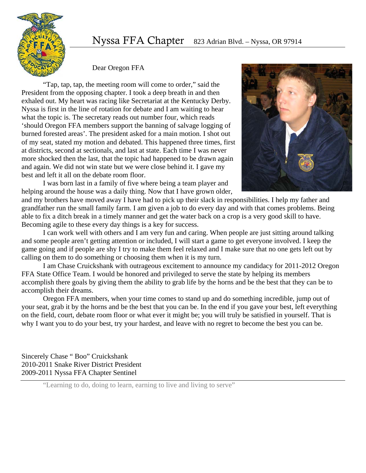



Dear Oregon FFA

"Tap, tap, tap, the meeting room will come to order," said the President from the opposing chapter. I took a deep breath in and then exhaled out. My heart was racing like Secretariat at the Kentucky Derby. Nyssa is first in the line of rotation for debate and I am waiting to hear what the topic is. The secretary reads out number four, which reads 'should Oregon FFA members support the banning of salvage logging of burned forested areas'. The president asked for a main motion. I shot out of my seat, stated my motion and debated. This happened three times, first at districts, second at sectionals, and last at state. Each time I was never more shocked then the last, that the topic had happened to be drawn again and again. We did not win state but we were close behind it. I gave my best and left it all on the debate room floor.

 I was born last in a family of five where being a team player and helping around the house was a daily thing. Now that I have grown older,



and my brothers have moved away I have had to pick up their slack in responsibilities. I help my father and grandfather run the small family farm. I am given a job to do every day and with that comes problems. Being able to fix a ditch break in a timely manner and get the water back on a crop is a very good skill to have. Becoming agile to these every day things is a key for success.

 I can work well with others and I am very fun and caring. When people are just sitting around talking and some people aren't getting attention or included, I will start a game to get everyone involved. I keep the game going and if people are shy I try to make them feel relaxed and I make sure that no one gets left out by calling on them to do something or choosing them when it is my turn.

 I am Chase Cruickshank with outrageous excitement to announce my candidacy for 2011-2012 Oregon FFA State Office Team. I would be honored and privileged to serve the state by helping its members accomplish there goals by giving them the ability to grab life by the horns and be the best that they can be to accomplish their dreams.

 Oregon FFA members, when your time comes to stand up and do something incredible, jump out of your seat, grab it by the horns and be the best that you can be. In the end if you gave your best, left everything on the field, court, debate room floor or what ever it might be; you will truly be satisfied in yourself. That is why I want you to do your best, try your hardest, and leave with no regret to become the best you can be.

Sincerely Chase " Boo" Cruickshank 2010-2011 Snake River District President 2009-2011 Nyssa FFA Chapter Sentinel

"Learning to do, doing to learn, earning to live and living to serve"